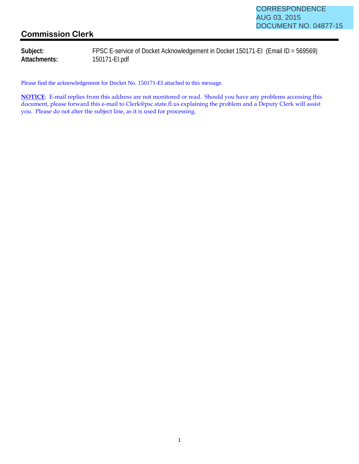## **Commission Clerk**

**Subject:** FPSC E-service of Docket Acknowledgement in Docket 150171-EI (Email ID = 569569) **Attachments:** 150171-EI.pdf

Please find the acknowledgement for Docket No. 150171-EI attached to this message.

**NOTICE**: E-mail replies from this address are not monitored or read. Should you have any problems accessing this document, please forward this e-mail to Clerk@psc.state.fl.us explaining the problem and a Deputy Clerk will assist you. Please do not alter the subject line, as it is used for processing.